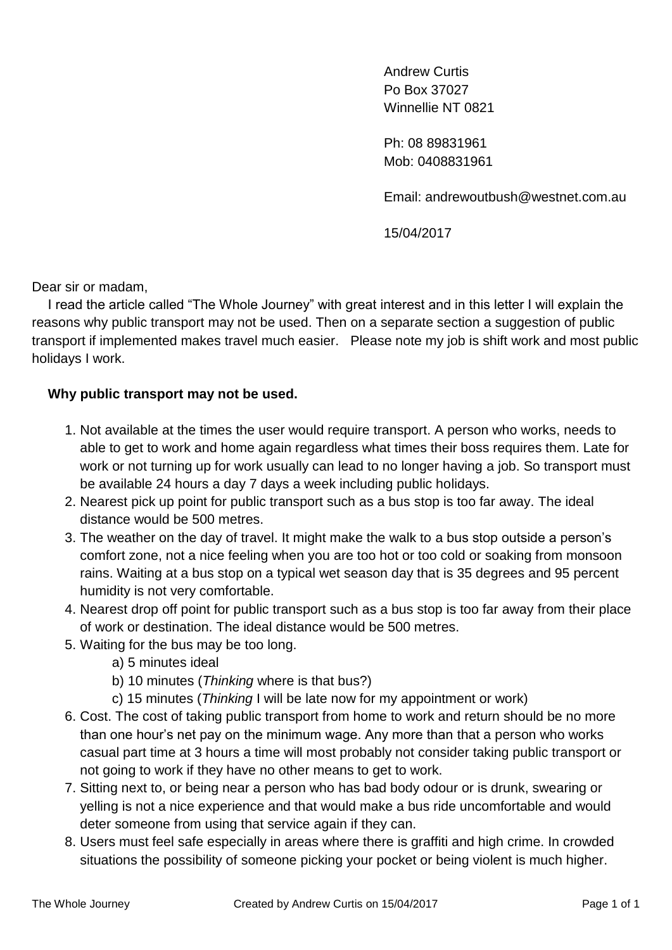Andrew Curtis Po Box 37027 Winnellie NT 0821

Ph: 08 89831961 Mob: 0408831961

Email: [andrewoutbush@westnet.com.au](mailto:andrewoutbush@westnet.com.au)

15/04/2017

Dear sir or madam,

I read the article called "The Whole Journey" with great interest and in this letter I will explain the reasons why public transport may not be used. Then on a separate section a suggestion of public transport if implemented makes travel much easier. Please note my job is shift work and most public holidays I work.

## **Why public transport may not be used.**

- 1. Not available at the times the user would require transport. A person who works, needs to able to get to work and home again regardless what times their boss requires them. Late for work or not turning up for work usually can lead to no longer having a job. So transport must be available 24 hours a day 7 days a week including public holidays.
- 2. Nearest pick up point for public transport such as a bus stop is too far away. The ideal distance would be 500 metres.
- 3. The weather on the day of travel. It might make the walk to a bus stop outside a person's comfort zone, not a nice feeling when you are too hot or too cold or soaking from monsoon rains. Waiting at a bus stop on a typical wet season day that is 35 degrees and 95 percent humidity is not very comfortable.
- 4. Nearest drop off point for public transport such as a bus stop is too far away from their place of work or destination. The ideal distance would be 500 metres.
- 5. Waiting for the bus may be too long.
	- a) 5 minutes ideal
	- b) 10 minutes (*Thinking* where is that bus?)
	- c) 15 minutes (*Thinking* I will be late now for my appointment or work)
- 6. Cost. The cost of taking public transport from home to work and return should be no more than one hour's net pay on the minimum wage. Any more than that a person who works casual part time at 3 hours a time will most probably not consider taking public transport or not going to work if they have no other means to get to work.
- 7. Sitting next to, or being near a person who has bad body odour or is drunk, swearing or yelling is not a nice experience and that would make a bus ride uncomfortable and would deter someone from using that service again if they can.
- 8. Users must feel safe especially in areas where there is graffiti and high crime. In crowded situations the possibility of someone picking your pocket or being violent is much higher.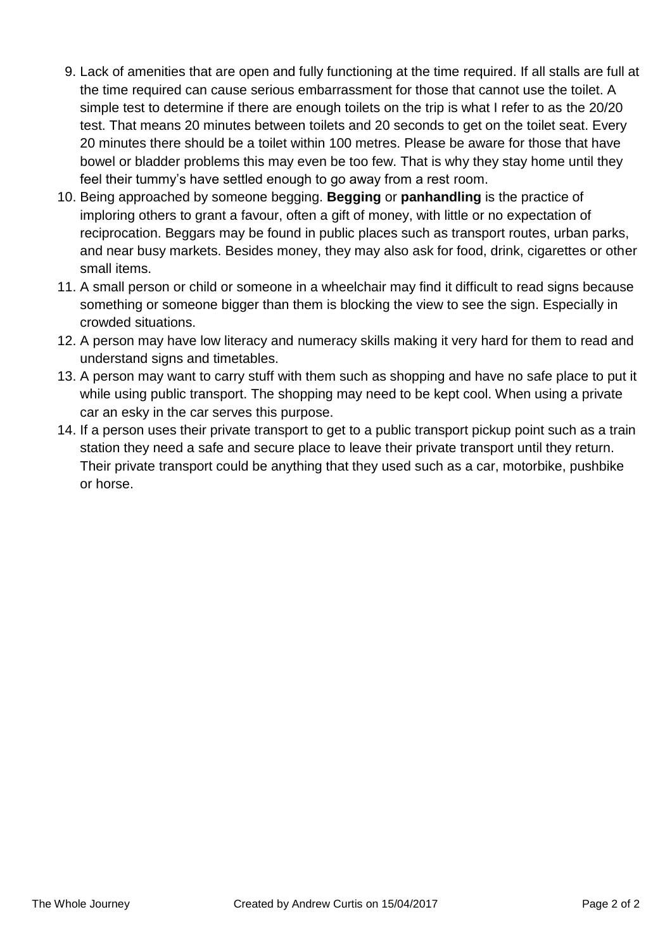- 9. Lack of amenities that are open and fully functioning at the time required. If all stalls are full at the time required can cause serious embarrassment for those that cannot use the toilet. A simple test to determine if there are enough toilets on the trip is what I refer to as the 20/20 test. That means 20 minutes between toilets and 20 seconds to get on the toilet seat. Every 20 minutes there should be a toilet within 100 metres. Please be aware for those that have bowel or bladder problems this may even be too few. That is why they stay home until they feel their tummy's have settled enough to go away from a rest room.
- 10. Being approached by someone begging. **Begging** or **panhandling** is the practice of imploring others to grant a favour, often a gift of [money,](https://en.wikipedia.org/wiki/Money) with little or no expectation of reciprocation. Beggars may be found in public places such as transport routes, urban parks, and near busy markets. Besides money, they may also ask for food, drink, cigarettes or other small items.
- 11. A small person or child or someone in a wheelchair may find it difficult to read signs because something or someone bigger than them is blocking the view to see the sign. Especially in crowded situations.
- 12. A person may have low literacy and numeracy skills making it very hard for them to read and understand signs and timetables.
- 13. A person may want to carry stuff with them such as shopping and have no safe place to put it while using public transport. The shopping may need to be kept cool. When using a private car an esky in the car serves this purpose.
- 14. If a person uses their private transport to get to a public transport pickup point such as a train station they need a safe and secure place to leave their private transport until they return. Their private transport could be anything that they used such as a car, motorbike, pushbike or horse.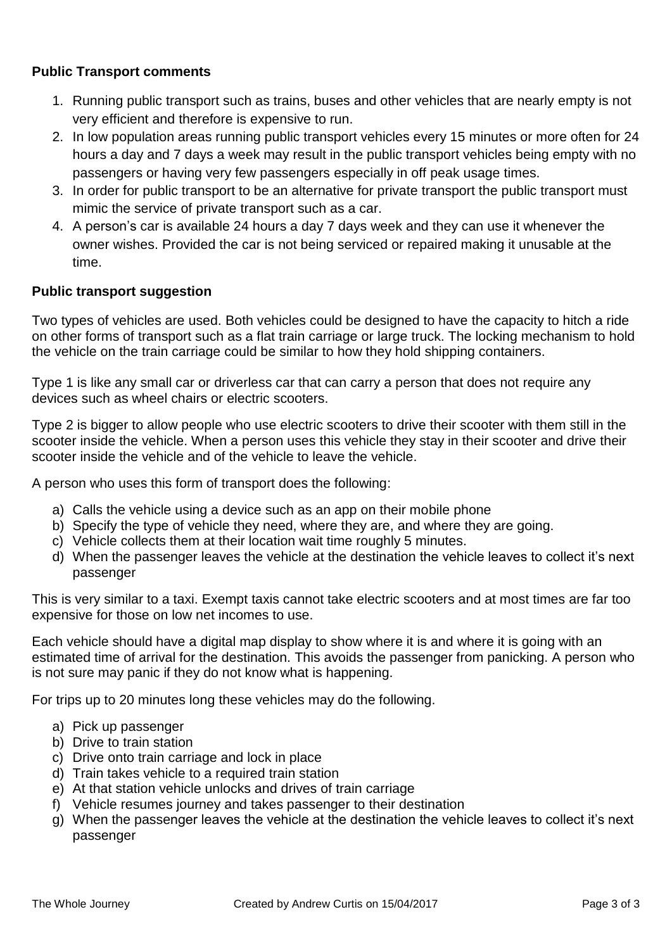## **Public Transport comments**

- 1. Running public transport such as trains, buses and other vehicles that are nearly empty is not very efficient and therefore is expensive to run.
- 2. In low population areas running public transport vehicles every 15 minutes or more often for 24 hours a day and 7 days a week may result in the public transport vehicles being empty with no passengers or having very few passengers especially in off peak usage times.
- 3. In order for public transport to be an alternative for private transport the public transport must mimic the service of private transport such as a car.
- 4. A person's car is available 24 hours a day 7 days week and they can use it whenever the owner wishes. Provided the car is not being serviced or repaired making it unusable at the time.

## **Public transport suggestion**

Two types of vehicles are used. Both vehicles could be designed to have the capacity to hitch a ride on other forms of transport such as a flat train carriage or large truck. The locking mechanism to hold the vehicle on the train carriage could be similar to how they hold shipping containers.

Type 1 is like any small car or driverless car that can carry a person that does not require any devices such as wheel chairs or electric scooters.

Type 2 is bigger to allow people who use electric scooters to drive their scooter with them still in the scooter inside the vehicle. When a person uses this vehicle they stay in their scooter and drive their scooter inside the vehicle and of the vehicle to leave the vehicle.

A person who uses this form of transport does the following:

- a) Calls the vehicle using a device such as an app on their mobile phone
- b) Specify the type of vehicle they need, where they are, and where they are going.
- c) Vehicle collects them at their location wait time roughly 5 minutes.
- d) When the passenger leaves the vehicle at the destination the vehicle leaves to collect it's next passenger

This is very similar to a taxi. Exempt taxis cannot take electric scooters and at most times are far too expensive for those on low net incomes to use.

Each vehicle should have a digital map display to show where it is and where it is going with an estimated time of arrival for the destination. This avoids the passenger from panicking. A person who is not sure may panic if they do not know what is happening.

For trips up to 20 minutes long these vehicles may do the following.

- a) Pick up passenger
- b) Drive to train station
- c) Drive onto train carriage and lock in place
- d) Train takes vehicle to a required train station
- e) At that station vehicle unlocks and drives of train carriage
- f) Vehicle resumes journey and takes passenger to their destination
- g) When the passenger leaves the vehicle at the destination the vehicle leaves to collect it's next passenger